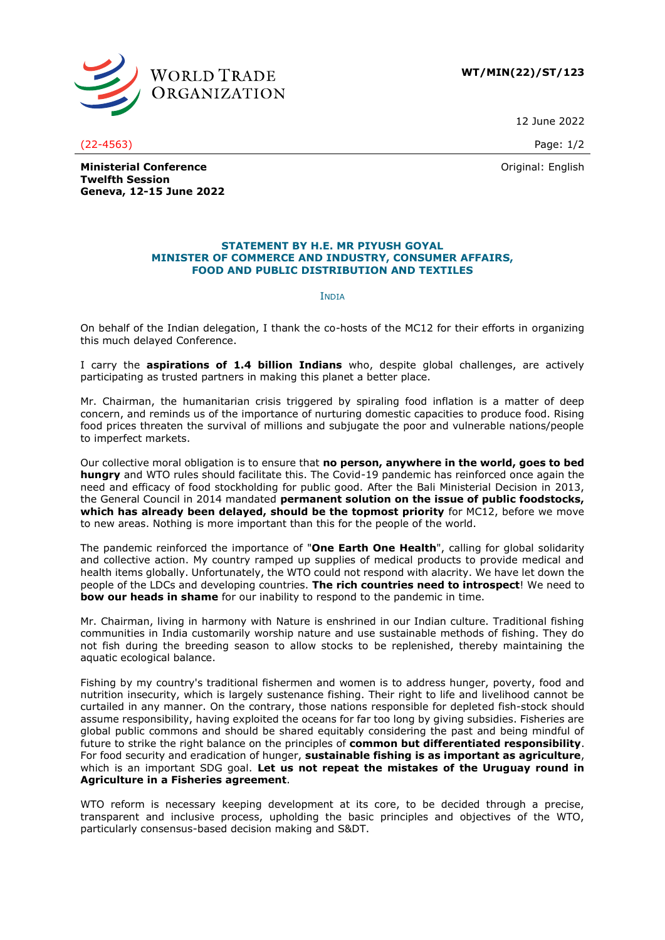

**WT/MIN(22)/ST/123**

12 June 2022

(22-4563) Page: 1/2

Original: English

**Ministerial Conference Twelfth Session Geneva, 12-15 June 2022**

## **STATEMENT BY H.E. MR PIYUSH GOYAL MINISTER OF COMMERCE AND INDUSTRY, CONSUMER AFFAIRS, FOOD AND PUBLIC DISTRIBUTION AND TEXTILES**

## **INDIA**

On behalf of the Indian delegation, I thank the co-hosts of the MC12 for their efforts in organizing this much delayed Conference.

I carry the **aspirations of 1.4 billion Indians** who, despite global challenges, are actively participating as trusted partners in making this planet a better place.

Mr. Chairman, the humanitarian crisis triggered by spiraling food inflation is a matter of deep concern, and reminds us of the importance of nurturing domestic capacities to produce food. Rising food prices threaten the survival of millions and subjugate the poor and vulnerable nations/people to imperfect markets.

Our collective moral obligation is to ensure that **no person, anywhere in the world, goes to bed hungry** and WTO rules should facilitate this. The Covid-19 pandemic has reinforced once again the need and efficacy of food stockholding for public good. After the Bali Ministerial Decision in 2013, the General Council in 2014 mandated **permanent solution on the issue of public foodstocks, which has already been delayed, should be the topmost priority** for MC12, before we move to new areas. Nothing is more important than this for the people of the world.

The pandemic reinforced the importance of "**One Earth One Health**", calling for global solidarity and collective action. My country ramped up supplies of medical products to provide medical and health items globally. Unfortunately, the WTO could not respond with alacrity. We have let down the people of the LDCs and developing countries. **The rich countries need to introspect**! We need to **bow our heads in shame** for our inability to respond to the pandemic in time.

Mr. Chairman, living in harmony with Nature is enshrined in our Indian culture. Traditional fishing communities in India customarily worship nature and use sustainable methods of fishing. They do not fish during the breeding season to allow stocks to be replenished, thereby maintaining the aquatic ecological balance.

Fishing by my country's traditional fishermen and women is to address hunger, poverty, food and nutrition insecurity, which is largely sustenance fishing. Their right to life and livelihood cannot be curtailed in any manner. On the contrary, those nations responsible for depleted fish-stock should assume responsibility, having exploited the oceans for far too long by giving subsidies. Fisheries are global public commons and should be shared equitably considering the past and being mindful of future to strike the right balance on the principles of **common but differentiated responsibility**. For food security and eradication of hunger, **sustainable fishing is as important as agriculture**, which is an important SDG goal. **Let us not repeat the mistakes of the Uruguay round in Agriculture in a Fisheries agreement**.

WTO reform is necessary keeping development at its core, to be decided through a precise, transparent and inclusive process, upholding the basic principles and objectives of the WTO, particularly consensus-based decision making and S&DT.